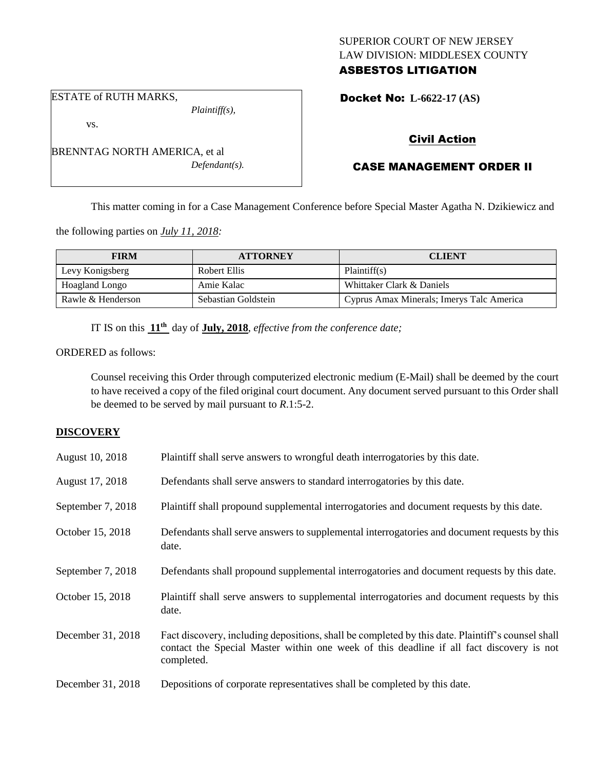## SUPERIOR COURT OF NEW JERSEY LAW DIVISION: MIDDLESEX COUNTY ASBESTOS LITIGATION

### ESTATE of RUTH MARKS,

Docket No: **L-6622-17 (AS)** 

# Civil Action

# CASE MANAGEMENT ORDER II

This matter coming in for a Case Management Conference before Special Master Agatha N. Dzikiewicz and

the following parties on *July 11, 2018:*

BRENNTAG NORTH AMERICA, et al

| <b>FIRM</b>       | <b>ATTORNEY</b>     | <b>CLIENT</b>                             |
|-------------------|---------------------|-------------------------------------------|
| Levy Konigsberg   | Robert Ellis        | Plaintiff(s)                              |
| Hoagland Longo    | Amie Kalac          | Whittaker Clark & Daniels                 |
| Rawle & Henderson | Sebastian Goldstein | Cyprus Amax Minerals; Imerys Talc America |

IT IS on this **11th** day of **July, 2018**, *effective from the conference date;*

ORDERED as follows:

Counsel receiving this Order through computerized electronic medium (E-Mail) shall be deemed by the court to have received a copy of the filed original court document. Any document served pursuant to this Order shall be deemed to be served by mail pursuant to *R*.1:5-2.

## **DISCOVERY**

| August 10, 2018   | Plaintiff shall serve answers to wrongful death interrogatories by this date.                                                                                                                               |
|-------------------|-------------------------------------------------------------------------------------------------------------------------------------------------------------------------------------------------------------|
| August 17, 2018   | Defendants shall serve answers to standard interrogatories by this date.                                                                                                                                    |
| September 7, 2018 | Plaintiff shall propound supplemental interrogatories and document requests by this date.                                                                                                                   |
| October 15, 2018  | Defendants shall serve answers to supplemental interrogatories and document requests by this<br>date.                                                                                                       |
| September 7, 2018 | Defendants shall propound supplemental interrogatories and document requests by this date.                                                                                                                  |
| October 15, 2018  | Plaintiff shall serve answers to supplemental interrogatories and document requests by this<br>date.                                                                                                        |
| December 31, 2018 | Fact discovery, including depositions, shall be completed by this date. Plaintiff's counsel shall<br>contact the Special Master within one week of this deadline if all fact discovery is not<br>completed. |
| December 31, 2018 | Depositions of corporate representatives shall be completed by this date.                                                                                                                                   |

*Plaintiff(s),*

*Defendant(s).*

vs.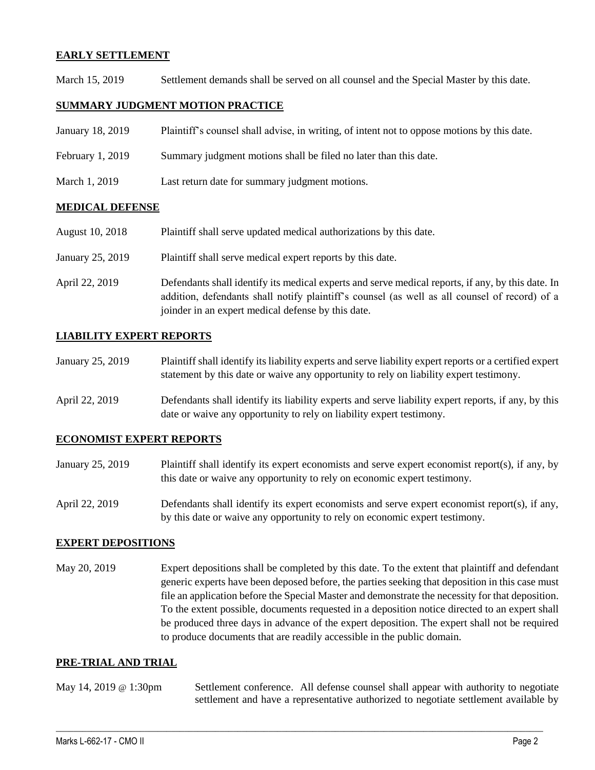## **EARLY SETTLEMENT**

March 15, 2019 Settlement demands shall be served on all counsel and the Special Master by this date.

## **SUMMARY JUDGMENT MOTION PRACTICE**

| January 18, 2019 | Plaintiff's counsel shall advise, in writing, of intent not to oppose motions by this date. |
|------------------|---------------------------------------------------------------------------------------------|
| February 1, 2019 | Summary judgment motions shall be filed no later than this date.                            |
| March 1, 2019    | Last return date for summary judgment motions.                                              |

### **MEDICAL DEFENSE**

| <b>August 10, 2018</b> | Plaintiff shall serve updated medical authorizations by this date.                                                                                                                                                                                       |
|------------------------|----------------------------------------------------------------------------------------------------------------------------------------------------------------------------------------------------------------------------------------------------------|
| January 25, 2019       | Plaintiff shall serve medical expert reports by this date.                                                                                                                                                                                               |
| April 22, 2019         | Defendants shall identify its medical experts and serve medical reports, if any, by this date. In<br>addition, defendants shall notify plaintiff's counsel (as well as all counsel of record) of a<br>joinder in an expert medical defense by this date. |

## **LIABILITY EXPERT REPORTS**

- January 25, 2019 Plaintiff shall identify its liability experts and serve liability expert reports or a certified expert statement by this date or waive any opportunity to rely on liability expert testimony.
- April 22, 2019 Defendants shall identify its liability experts and serve liability expert reports, if any, by this date or waive any opportunity to rely on liability expert testimony.

### **ECONOMIST EXPERT REPORTS**

- January 25, 2019 Plaintiff shall identify its expert economists and serve expert economist report(s), if any, by this date or waive any opportunity to rely on economic expert testimony.
- April 22, 2019 Defendants shall identify its expert economists and serve expert economist report(s), if any, by this date or waive any opportunity to rely on economic expert testimony.

### **EXPERT DEPOSITIONS**

May 20, 2019 Expert depositions shall be completed by this date. To the extent that plaintiff and defendant generic experts have been deposed before, the parties seeking that deposition in this case must file an application before the Special Master and demonstrate the necessity for that deposition. To the extent possible, documents requested in a deposition notice directed to an expert shall be produced three days in advance of the expert deposition. The expert shall not be required to produce documents that are readily accessible in the public domain.

### **PRE-TRIAL AND TRIAL**

May 14, 2019 @ 1:30pm Settlement conference. All defense counsel shall appear with authority to negotiate settlement and have a representative authorized to negotiate settlement available by

 $\_$  ,  $\_$  ,  $\_$  ,  $\_$  ,  $\_$  ,  $\_$  ,  $\_$  ,  $\_$  ,  $\_$  ,  $\_$  ,  $\_$  ,  $\_$  ,  $\_$  ,  $\_$  ,  $\_$  ,  $\_$  ,  $\_$  ,  $\_$  ,  $\_$  ,  $\_$  ,  $\_$  ,  $\_$  ,  $\_$  ,  $\_$  ,  $\_$  ,  $\_$  ,  $\_$  ,  $\_$  ,  $\_$  ,  $\_$  ,  $\_$  ,  $\_$  ,  $\_$  ,  $\_$  ,  $\_$  ,  $\_$  ,  $\_$  ,